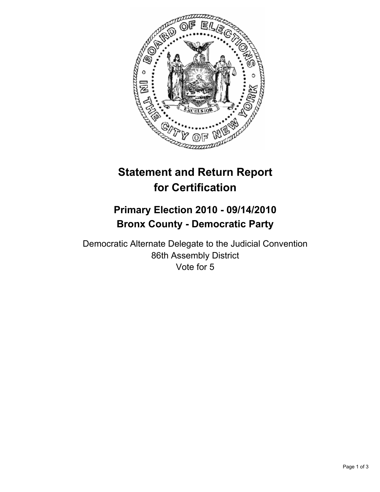

# **Statement and Return Report for Certification**

# **Primary Election 2010 - 09/14/2010 Bronx County - Democratic Party**

Democratic Alternate Delegate to the Judicial Convention 86th Assembly District Vote for 5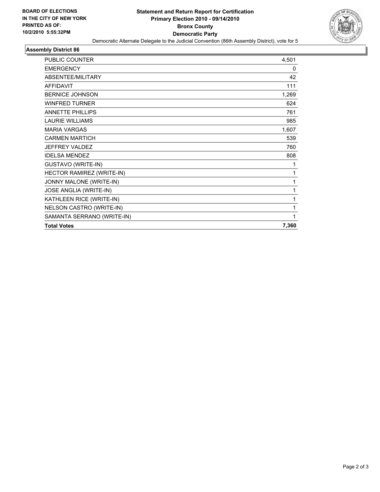

#### **Assembly District 86**

| <b>PUBLIC COUNTER</b>      | 4,501 |
|----------------------------|-------|
| <b>EMERGENCY</b>           | 0     |
| ABSENTEE/MILITARY          | 42    |
| <b>AFFIDAVIT</b>           | 111   |
| <b>BERNICE JOHNSON</b>     | 1,269 |
| <b>WINFRED TURNER</b>      | 624   |
| <b>ANNETTE PHILLIPS</b>    | 761   |
| <b>LAURIE WILLIAMS</b>     | 985   |
| <b>MARIA VARGAS</b>        | 1,607 |
| <b>CARMEN MARTICH</b>      | 539   |
| <b>JEFFREY VALDEZ</b>      | 760   |
| <b>IDELSA MENDEZ</b>       | 808   |
| <b>GUSTAVO (WRITE-IN)</b>  | 1     |
| HECTOR RAMIREZ (WRITE-IN)  | 1     |
| JONNY MALONE (WRITE-IN)    | 1     |
| JOSE ANGLIA (WRITE-IN)     | 1     |
| KATHLEEN RICE (WRITE-IN)   | 1     |
| NELSON CASTRO (WRITE-IN)   | 1     |
| SAMANTA SERRANO (WRITE-IN) | 1     |
| <b>Total Votes</b>         | 7,360 |